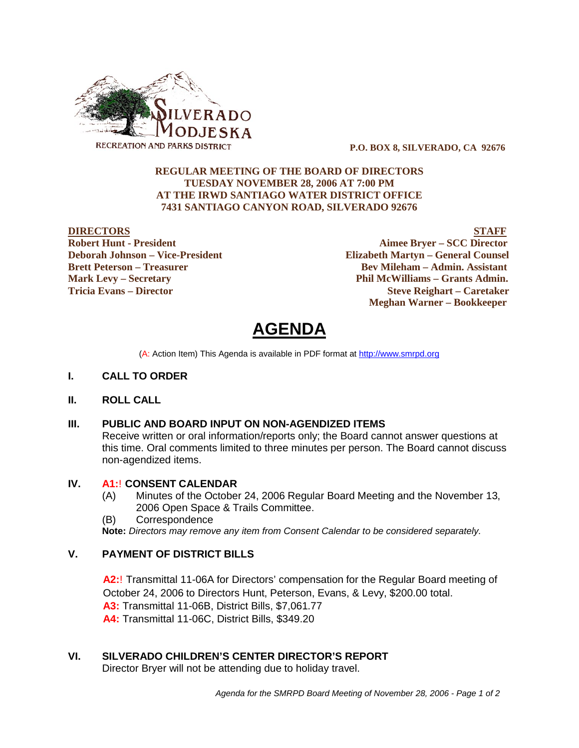

 **P.O. BOX 8, SILVERADO, CA 92676**

## **REGULAR MEETING OF THE BOARD OF DIRECTORS TUESDAY NOVEMBER 28, 2006 AT 7:00 PM AT THE IRWD SANTIAGO WATER DISTRICT OFFICE 7431 SANTIAGO CANYON ROAD, SILVERADO 92676**

**DIRECTORS STAFF Robert Hunt - President Aimee Bryer – SCC Director Deborah Johnson – Vice-President Elizabeth Martyn – General Counsel Brett Peterson – Treasurer Serverson – Bev Mileham – Admin. Assistant Mark Levy – Secretary Phil McWilliams – Grants Admin. Tricia Evans – Director Steve Reighart – Caretaker Meghan Warner – Bookkeeper**

**AGENDA** 

(A: Action Item) This Agenda is available in PDF format at http://www.smrpd.org

- **I. CALL TO ORDER**
- **II. ROLL CALL**

## **III. PUBLIC AND BOARD INPUT ON NON-AGENDIZED ITEMS**

Receive written or oral information/reports only; the Board cannot answer questions at this time. Oral comments limited to three minutes per person. The Board cannot discuss non-agendized items.

## **IV. A1:**! **CONSENT CALENDAR**

- (A) Minutes of the October 24, 2006 Regular Board Meeting and the November 13, 2006 Open Space & Trails Committee.
- (B) Correspondence

**Note:** *Directors may remove any item from Consent Calendar to be considered separately.*

## **V. PAYMENT OF DISTRICT BILLS**

**A2:**! Transmittal 11-06A for Directors' compensation for the Regular Board meeting of October 24, 2006 to Directors Hunt, Peterson, Evans, & Levy, \$200.00 total.

**A3:** Transmittal 11-06B, District Bills, \$7,061.77

**A4:** Transmittal 11-06C, District Bills, \$349.20

## **VI. SILVERADO CHILDREN'S CENTER DIRECTOR'S REPORT**

Director Bryer will not be attending due to holiday travel.